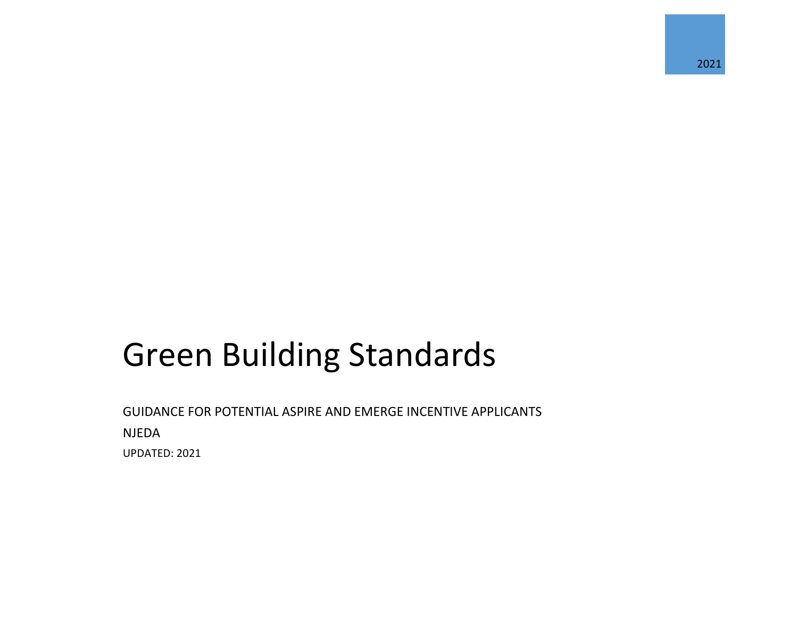# Green Building Standards

GUIDANCE FOR POTENTIAL ASPIRE AND EMERGE INCENTIVE APPLICANTS NJEDA UPDATED: 2021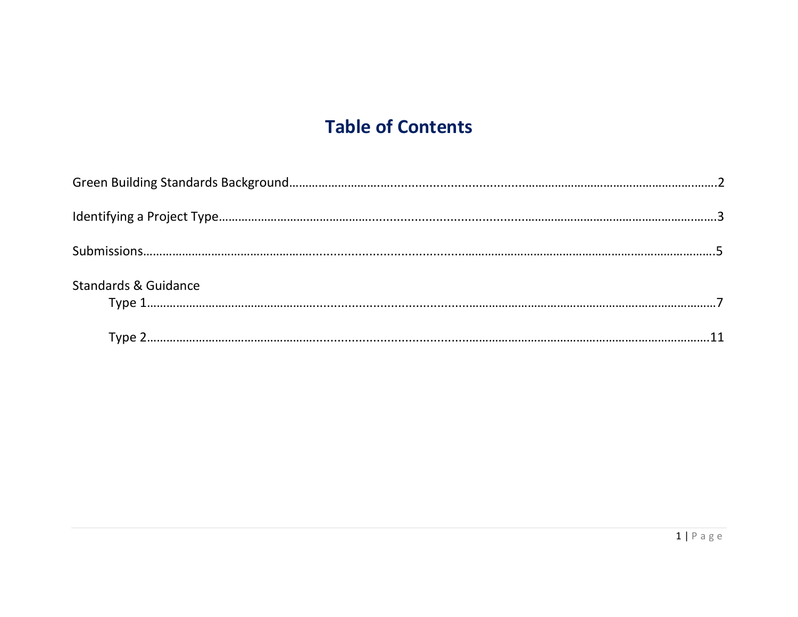# **Table of Contents**

| <b>Standards &amp; Guidance</b> |  |
|---------------------------------|--|
|                                 |  |
|                                 |  |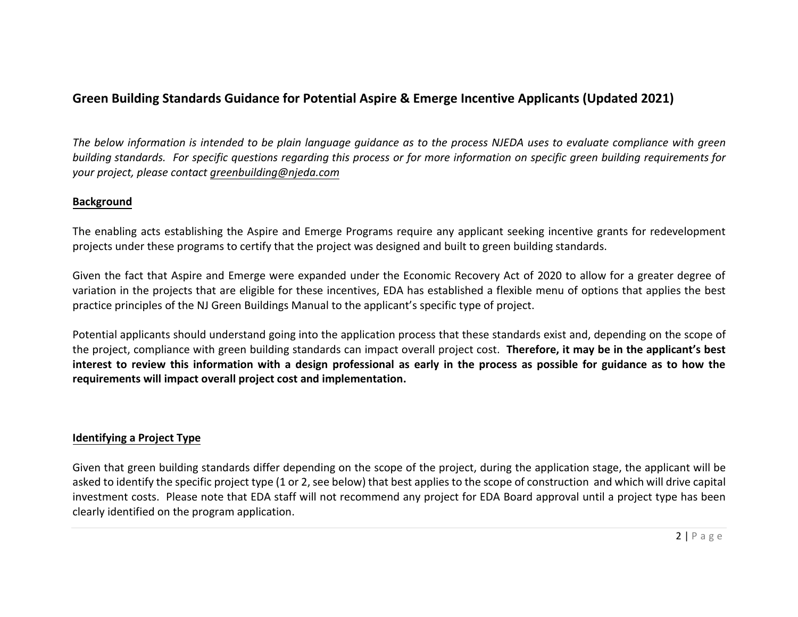## **Green Building Standards Guidance for Potential Aspire & Emerge Incentive Applicants (Updated 2021)**

*The below information is intended to be plain language guidance as to the process NJEDA uses to evaluate compliance with green building standards. For specific questions regarding this process or for more information on specific green building requirements for your project, please contact [greenbuilding@njeda.com](mailto:greenbuilding@njeda.com)* 

#### **Background**

The enabling acts establishing the Aspire and Emerge Programs require any applicant seeking incentive grants for redevelopment projects under these programs to certify that the project was designed and built to green building standards.

Given the fact that Aspire and Emerge were expanded under the Economic Recovery Act of 2020 to allow for a greater degree of variation in the projects that are eligible for these incentives, EDA has established a flexible menu of options that applies the best practice principles of the NJ Green Buildings Manual to the applicant's specific type of project.

Potential applicants should understand going into the application process that these standards exist and, depending on the scope of the project, compliance with green building standards can impact overall project cost. **Therefore, it may be in the applicant's best interest to review this information with a design professional as early in the process as possible for guidance as to how the requirements will impact overall project cost and implementation.** 

#### **Identifying a Project Type**

Given that green building standards differ depending on the scope of the project, during the application stage, the applicant will be asked to identify the specific project type (1 or 2, see below) that best applies to the scope of construction and which will drive capital investment costs. Please note that EDA staff will not recommend any project for EDA Board approval until a project type has been clearly identified on the program application.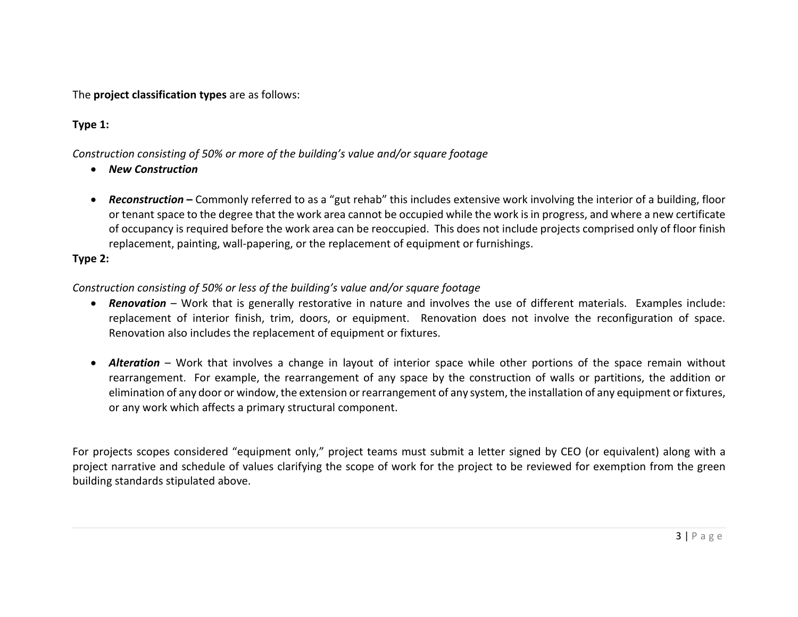The **project classification types** are as follows:

#### **Type 1:**

#### *Construction consisting of 50% or more of the building's value and/or square footage*

- *New Construction*
- Reconstruction Commonly referred to as a "gut rehab" this includes extensive work involving the interior of a building, floor or tenant space to the degree that the work area cannot be occupied while the work is in progress, and where a new certificate of occupancy is required before the work area can be reoccupied. This does not include projects comprised only of floor finish replacement, painting, wall-papering, or the replacement of equipment or furnishings.

#### **Type 2:**

#### *Construction consisting of 50% or less of the building's value and/or square footage*

- *Renovation* Work that is generally restorative in nature and involves the use of different materials. Examples include: replacement of interior finish, trim, doors, or equipment. Renovation does not involve the reconfiguration of space. Renovation also includes the replacement of equipment or fixtures.
- *Alteration* Work that involves a change in layout of interior space while other portions of the space remain without rearrangement. For example, the rearrangement of any space by the construction of walls or partitions, the addition or elimination of any door or window, the extension or rearrangement of any system, the installation of any equipment or fixtures, or any work which affects a primary structural component.

For projects scopes considered "equipment only," project teams must submit a letter signed by CEO (or equivalent) along with a project narrative and schedule of values clarifying the scope of work for the project to be reviewed for exemption from the green building standards stipulated above.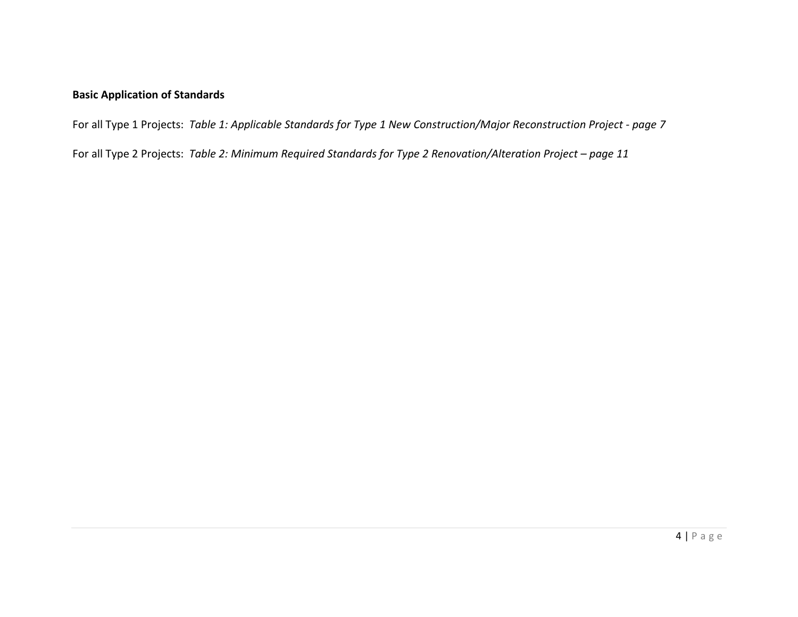#### **Basic Application of Standards**

For all Type 1 Projects: *Table 1: Applicable Standards for Type 1 New Construction/Major Reconstruction Project - page 7*

For all Type 2 Projects: *Table 2: Minimum Required Standards for Type 2 Renovation/Alteration Project – page 11*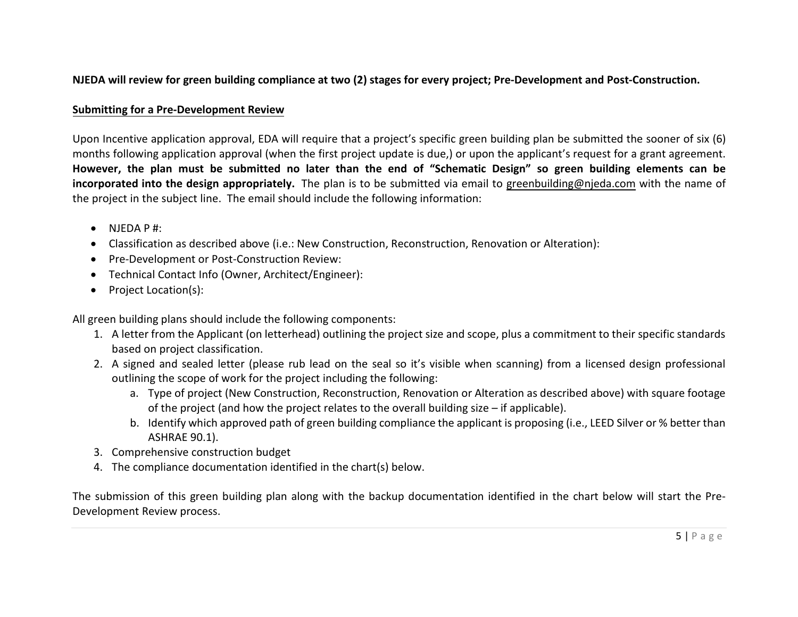#### **NJEDA will review for green building compliance at two (2) stages for every project; Pre-Development and Post-Construction.**

#### **Submitting for a Pre-Development Review**

Upon Incentive application approval, EDA will require that a project's specific green building plan be submitted the sooner of six (6) months following application approval (when the first project update is due,) or upon the applicant's request for a grant agreement. However, the plan must be submitted no later than the end of "Schematic Design" so green building elements can be **incorporated into the design appropriately.** The plan is to be submitted via email to [greenbuilding@njeda.com](mailto:greenbuilding@njeda.com) with the name of the project in the subject line. The email should include the following information:

- $\bullet$  NIFDA P #:
- Classification as described above (i.e.: New Construction, Reconstruction, Renovation or Alteration):
- Pre-Development or Post-Construction Review:
- Technical Contact Info (Owner, Architect/Engineer):
- Project Location(s):

All green building plans should include the following components:

- 1. A letter from the Applicant (on letterhead) outlining the project size and scope, plus a commitment to their specific standards based on project classification.
- 2. A signed and sealed letter (please rub lead on the seal so it's visible when scanning) from a licensed design professional outlining the scope of work for the project including the following:
	- a. Type of project (New Construction, Reconstruction, Renovation or Alteration as described above) with square footage of the project (and how the project relates to the overall building size – if applicable).
	- b. Identify which approved path of green building compliance the applicant is proposing (i.e., LEED Silver or % better than ASHRAE 90.1).
- 3. Comprehensive construction budget
- 4. The compliance documentation identified in the chart(s) below.

The submission of this green building plan along with the backup documentation identified in the chart below will start the Pre-Development Review process.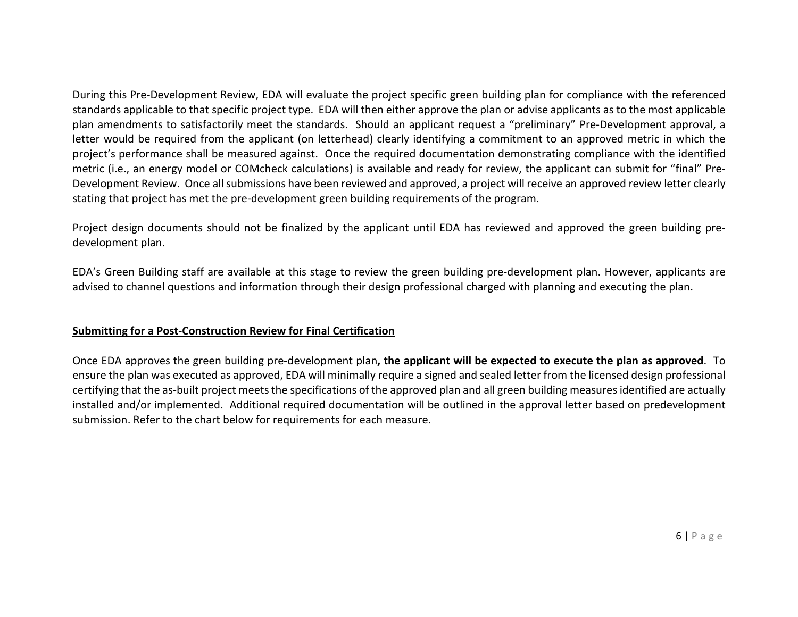During this Pre-Development Review, EDA will evaluate the project specific green building plan for compliance with the referenced standards applicable to that specific project type. EDA will then either approve the plan or advise applicants as to the most applicable plan amendments to satisfactorily meet the standards. Should an applicant request a "preliminary" Pre-Development approval, a letter would be required from the applicant (on letterhead) clearly identifying a commitment to an approved metric in which the project's performance shall be measured against. Once the required documentation demonstrating compliance with the identified metric (i.e., an energy model or COMcheck calculations) is available and ready for review, the applicant can submit for "final" Pre-Development Review. Once all submissions have been reviewed and approved, a project will receive an approved review letter clearly stating that project has met the pre-development green building requirements of the program.

Project design documents should not be finalized by the applicant until EDA has reviewed and approved the green building predevelopment plan.

EDA's Green Building staff are available at this stage to review the green building pre-development plan. However, applicants are advised to channel questions and information through their design professional charged with planning and executing the plan.

#### **Submitting for a Post-Construction Review for Final Certification**

Once EDA approves the green building pre-development plan**, the applicant will be expected to execute the plan as approved**. To ensure the plan was executed as approved, EDA will minimally require a signed and sealed letter from the licensed design professional certifying that the as-built project meets the specifications of the approved plan and all green building measures identified are actually installed and/or implemented. Additional required documentation will be outlined in the approval letter based on predevelopment submission. Refer to the chart below for requirements for each measure.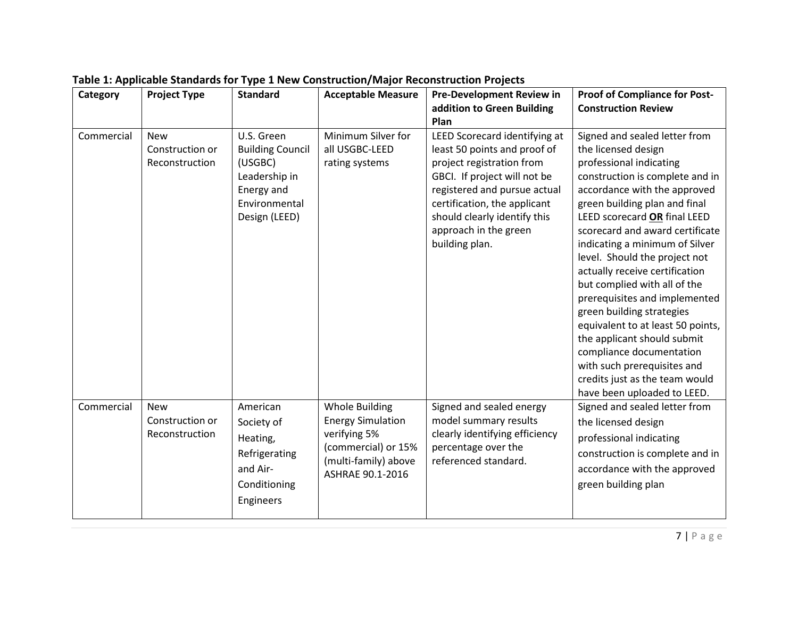| Category   | <b>Project Type</b>                             | <b>Standard</b>                                                                                                   | <b>Acceptable Measure</b>                                                                                                            | <b>Pre-Development Review in</b>                                                                                                                                                                                                                                      | <b>Proof of Compliance for Post-</b>                                                                                                                                                                                                                                                                                                                                                                                                                                                                                                                                                                                                                      |
|------------|-------------------------------------------------|-------------------------------------------------------------------------------------------------------------------|--------------------------------------------------------------------------------------------------------------------------------------|-----------------------------------------------------------------------------------------------------------------------------------------------------------------------------------------------------------------------------------------------------------------------|-----------------------------------------------------------------------------------------------------------------------------------------------------------------------------------------------------------------------------------------------------------------------------------------------------------------------------------------------------------------------------------------------------------------------------------------------------------------------------------------------------------------------------------------------------------------------------------------------------------------------------------------------------------|
|            |                                                 |                                                                                                                   |                                                                                                                                      | addition to Green Building<br>Plan                                                                                                                                                                                                                                    | <b>Construction Review</b>                                                                                                                                                                                                                                                                                                                                                                                                                                                                                                                                                                                                                                |
| Commercial | <b>New</b><br>Construction or<br>Reconstruction | U.S. Green<br><b>Building Council</b><br>(USGBC)<br>Leadership in<br>Energy and<br>Environmental<br>Design (LEED) | Minimum Silver for<br>all USGBC-LEED<br>rating systems                                                                               | LEED Scorecard identifying at<br>least 50 points and proof of<br>project registration from<br>GBCI. If project will not be<br>registered and pursue actual<br>certification, the applicant<br>should clearly identify this<br>approach in the green<br>building plan. | Signed and sealed letter from<br>the licensed design<br>professional indicating<br>construction is complete and in<br>accordance with the approved<br>green building plan and final<br>LEED scorecard OR final LEED<br>scorecard and award certificate<br>indicating a minimum of Silver<br>level. Should the project not<br>actually receive certification<br>but complied with all of the<br>prerequisites and implemented<br>green building strategies<br>equivalent to at least 50 points,<br>the applicant should submit<br>compliance documentation<br>with such prerequisites and<br>credits just as the team would<br>have been uploaded to LEED. |
| Commercial | <b>New</b><br>Construction or<br>Reconstruction | American<br>Society of<br>Heating,<br>Refrigerating<br>and Air-<br>Conditioning<br>Engineers                      | <b>Whole Building</b><br><b>Energy Simulation</b><br>verifying 5%<br>(commercial) or 15%<br>(multi-family) above<br>ASHRAE 90.1-2016 | Signed and sealed energy<br>model summary results<br>clearly identifying efficiency<br>percentage over the<br>referenced standard.                                                                                                                                    | Signed and sealed letter from<br>the licensed design<br>professional indicating<br>construction is complete and in<br>accordance with the approved<br>green building plan                                                                                                                                                                                                                                                                                                                                                                                                                                                                                 |

# **Table 1: Applicable Standards for Type 1 New Construction/Major Reconstruction Projects**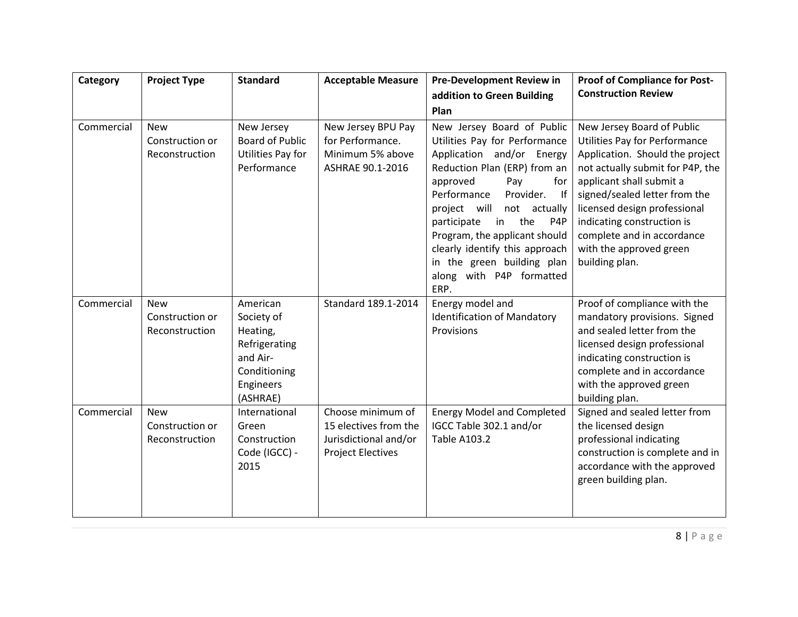| Category   | <b>Project Type</b>                             | <b>Standard</b>                                                                                          | <b>Acceptable Measure</b>                                                                       | <b>Pre-Development Review in</b>                                                                                                                                                                                                                                                                                                                                                                 | <b>Proof of Compliance for Post-</b>                                                                                                                                                                                                                                                                                                     |
|------------|-------------------------------------------------|----------------------------------------------------------------------------------------------------------|-------------------------------------------------------------------------------------------------|--------------------------------------------------------------------------------------------------------------------------------------------------------------------------------------------------------------------------------------------------------------------------------------------------------------------------------------------------------------------------------------------------|------------------------------------------------------------------------------------------------------------------------------------------------------------------------------------------------------------------------------------------------------------------------------------------------------------------------------------------|
|            |                                                 |                                                                                                          |                                                                                                 | addition to Green Building                                                                                                                                                                                                                                                                                                                                                                       | <b>Construction Review</b>                                                                                                                                                                                                                                                                                                               |
|            |                                                 |                                                                                                          |                                                                                                 | Plan                                                                                                                                                                                                                                                                                                                                                                                             |                                                                                                                                                                                                                                                                                                                                          |
| Commercial | <b>New</b><br>Construction or<br>Reconstruction | New Jersey<br><b>Board of Public</b><br>Utilities Pay for<br>Performance                                 | New Jersey BPU Pay<br>for Performance.<br>Minimum 5% above<br>ASHRAE 90.1-2016                  | New Jersey Board of Public<br>Utilities Pay for Performance<br>Application and/or Energy<br>Reduction Plan (ERP) from an<br>approved<br>Pay<br>for<br>Performance<br>Provider.<br>$ $ If<br>project will<br>not actually<br>the<br>participate<br>in<br>P4P<br>Program, the applicant should<br>clearly identify this approach<br>in the green building plan<br>along with P4P formatted<br>ERP. | New Jersey Board of Public<br>Utilities Pay for Performance<br>Application. Should the project<br>not actually submit for P4P, the<br>applicant shall submit a<br>signed/sealed letter from the<br>licensed design professional<br>indicating construction is<br>complete and in accordance<br>with the approved green<br>building plan. |
| Commercial | <b>New</b><br>Construction or<br>Reconstruction | American<br>Society of<br>Heating,<br>Refrigerating<br>and Air-<br>Conditioning<br>Engineers<br>(ASHRAE) | Standard 189.1-2014                                                                             | Energy model and<br><b>Identification of Mandatory</b><br>Provisions                                                                                                                                                                                                                                                                                                                             | Proof of compliance with the<br>mandatory provisions. Signed<br>and sealed letter from the<br>licensed design professional<br>indicating construction is<br>complete and in accordance<br>with the approved green<br>building plan.                                                                                                      |
| Commercial | <b>New</b><br>Construction or<br>Reconstruction | International<br>Green<br>Construction<br>Code (IGCC) -<br>2015                                          | Choose minimum of<br>15 electives from the<br>Jurisdictional and/or<br><b>Project Electives</b> | <b>Energy Model and Completed</b><br>IGCC Table 302.1 and/or<br><b>Table A103.2</b>                                                                                                                                                                                                                                                                                                              | Signed and sealed letter from<br>the licensed design<br>professional indicating<br>construction is complete and in<br>accordance with the approved<br>green building plan.                                                                                                                                                               |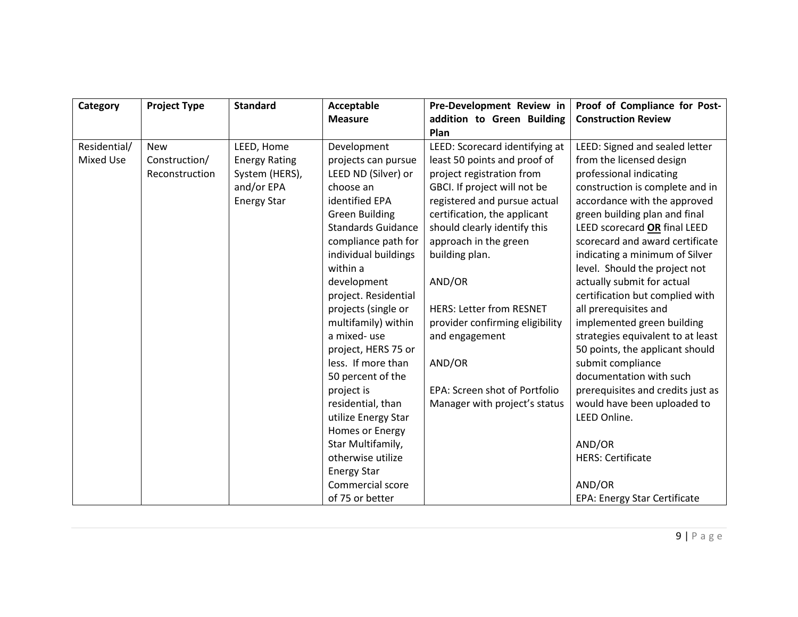| Category     | <b>Project Type</b> | <b>Standard</b>      | Acceptable                | Pre-Development Review in       | Proof of Compliance for Post-       |
|--------------|---------------------|----------------------|---------------------------|---------------------------------|-------------------------------------|
|              |                     |                      | <b>Measure</b>            | addition to Green Building      | <b>Construction Review</b>          |
|              |                     |                      |                           | Plan                            |                                     |
| Residential/ | <b>New</b>          | LEED, Home           | Development               | LEED: Scorecard identifying at  | LEED: Signed and sealed letter      |
| Mixed Use    | Construction/       | <b>Energy Rating</b> | projects can pursue       | least 50 points and proof of    | from the licensed design            |
|              | Reconstruction      | System (HERS),       | LEED ND (Silver) or       | project registration from       | professional indicating             |
|              |                     | and/or EPA           | choose an                 | GBCI. If project will not be    | construction is complete and in     |
|              |                     | <b>Energy Star</b>   | identified EPA            | registered and pursue actual    | accordance with the approved        |
|              |                     |                      | <b>Green Building</b>     | certification, the applicant    | green building plan and final       |
|              |                     |                      | <b>Standards Guidance</b> | should clearly identify this    | LEED scorecard OR final LEED        |
|              |                     |                      | compliance path for       | approach in the green           | scorecard and award certificate     |
|              |                     |                      | individual buildings      | building plan.                  | indicating a minimum of Silver      |
|              |                     |                      | within a                  |                                 | level. Should the project not       |
|              |                     |                      | development               | AND/OR                          | actually submit for actual          |
|              |                     |                      | project. Residential      |                                 | certification but complied with     |
|              |                     |                      | projects (single or       | <b>HERS: Letter from RESNET</b> | all prerequisites and               |
|              |                     |                      | multifamily) within       | provider confirming eligibility | implemented green building          |
|              |                     |                      | a mixed-use               | and engagement                  | strategies equivalent to at least   |
|              |                     |                      | project, HERS 75 or       |                                 | 50 points, the applicant should     |
|              |                     |                      | less. If more than        | AND/OR                          | submit compliance                   |
|              |                     |                      | 50 percent of the         |                                 | documentation with such             |
|              |                     |                      | project is                | EPA: Screen shot of Portfolio   | prerequisites and credits just as   |
|              |                     |                      | residential, than         | Manager with project's status   | would have been uploaded to         |
|              |                     |                      | utilize Energy Star       |                                 | LEED Online.                        |
|              |                     |                      | Homes or Energy           |                                 |                                     |
|              |                     |                      | Star Multifamily,         |                                 | AND/OR                              |
|              |                     |                      | otherwise utilize         |                                 | <b>HERS: Certificate</b>            |
|              |                     |                      | <b>Energy Star</b>        |                                 |                                     |
|              |                     |                      | Commercial score          |                                 | AND/OR                              |
|              |                     |                      | of 75 or better           |                                 | <b>EPA: Energy Star Certificate</b> |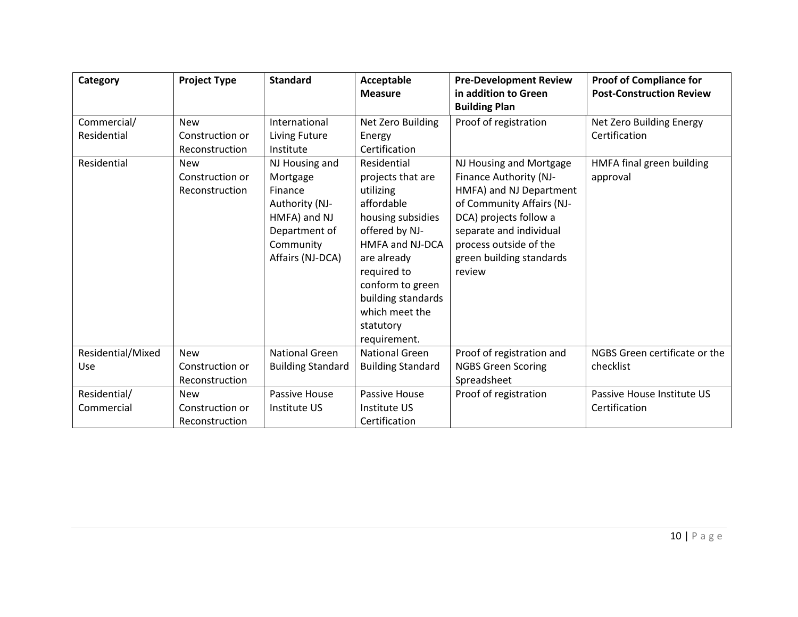| Category                   | <b>Project Type</b>                             | <b>Standard</b>                                                                                                           | Acceptable<br><b>Measure</b>                                                                                                                                                                                                                 | <b>Pre-Development Review</b><br>in addition to Green<br><b>Building Plan</b>                                                                                                                                                  | <b>Proof of Compliance for</b><br><b>Post-Construction Review</b> |
|----------------------------|-------------------------------------------------|---------------------------------------------------------------------------------------------------------------------------|----------------------------------------------------------------------------------------------------------------------------------------------------------------------------------------------------------------------------------------------|--------------------------------------------------------------------------------------------------------------------------------------------------------------------------------------------------------------------------------|-------------------------------------------------------------------|
| Commercial/<br>Residential | <b>New</b><br>Construction or<br>Reconstruction | International<br>Living Future<br>Institute                                                                               | Net Zero Building<br>Energy<br>Certification                                                                                                                                                                                                 | Proof of registration                                                                                                                                                                                                          | Net Zero Building Energy<br>Certification                         |
| Residential                | <b>New</b><br>Construction or<br>Reconstruction | NJ Housing and<br>Mortgage<br>Finance<br>Authority (NJ-<br>HMFA) and NJ<br>Department of<br>Community<br>Affairs (NJ-DCA) | Residential<br>projects that are<br>utilizing<br>affordable<br>housing subsidies<br>offered by NJ-<br>HMFA and NJ-DCA<br>are already<br>required to<br>conform to green<br>building standards<br>which meet the<br>statutory<br>requirement. | NJ Housing and Mortgage<br>Finance Authority (NJ-<br>HMFA) and NJ Department<br>of Community Affairs (NJ-<br>DCA) projects follow a<br>separate and individual<br>process outside of the<br>green building standards<br>review | HMFA final green building<br>approval                             |
| Residential/Mixed<br>Use   | <b>New</b><br>Construction or<br>Reconstruction | <b>National Green</b><br><b>Building Standard</b>                                                                         | <b>National Green</b><br><b>Building Standard</b>                                                                                                                                                                                            | Proof of registration and<br><b>NGBS Green Scoring</b><br>Spreadsheet                                                                                                                                                          | NGBS Green certificate or the<br>checklist                        |
| Residential/<br>Commercial | <b>New</b><br>Construction or<br>Reconstruction | Passive House<br>Institute US                                                                                             | Passive House<br>Institute US<br>Certification                                                                                                                                                                                               | Proof of registration                                                                                                                                                                                                          | Passive House Institute US<br>Certification                       |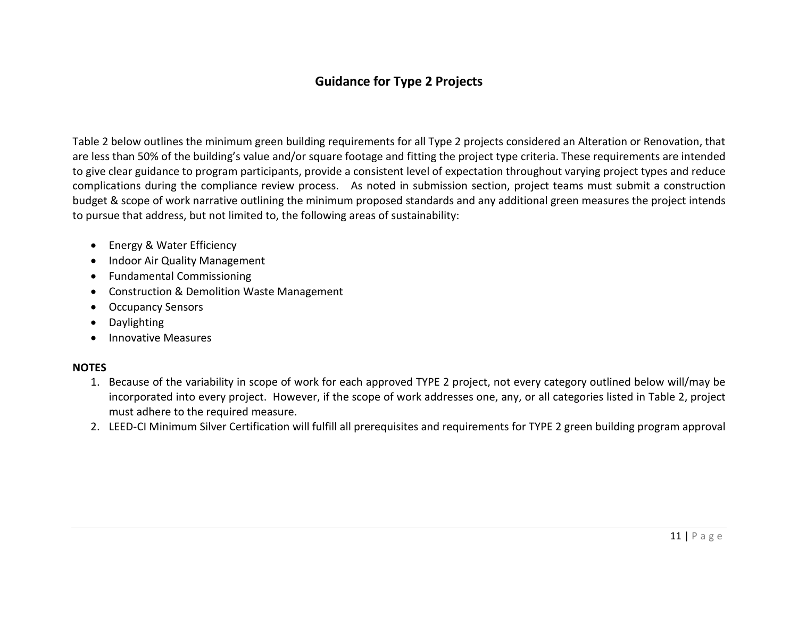### **Guidance for Type 2 Projects**

Table 2 below outlines the minimum green building requirements for all Type 2 projects considered an Alteration or Renovation, that are less than 50% of the building's value and/or square footage and fitting the project type criteria. These requirements are intended to give clear guidance to program participants, provide a consistent level of expectation throughout varying project types and reduce complications during the compliance review process. As noted in submission section, project teams must submit a construction budget & scope of work narrative outlining the minimum proposed standards and any additional green measures the project intends to pursue that address, but not limited to, the following areas of sustainability:

- Energy & Water Efficiency
- Indoor Air Quality Management
- Fundamental Commissioning
- Construction & Demolition Waste Management
- Occupancy Sensors
- Daylighting
- Innovative Measures

#### **NOTES**

- 1. Because of the variability in scope of work for each approved TYPE 2 project, not every category outlined below will/may be incorporated into every project. However, if the scope of work addresses one, any, or all categories listed in Table 2, project must adhere to the required measure.
- 2. LEED-CI Minimum Silver Certification will fulfill all prerequisites and requirements for TYPE 2 green building program approval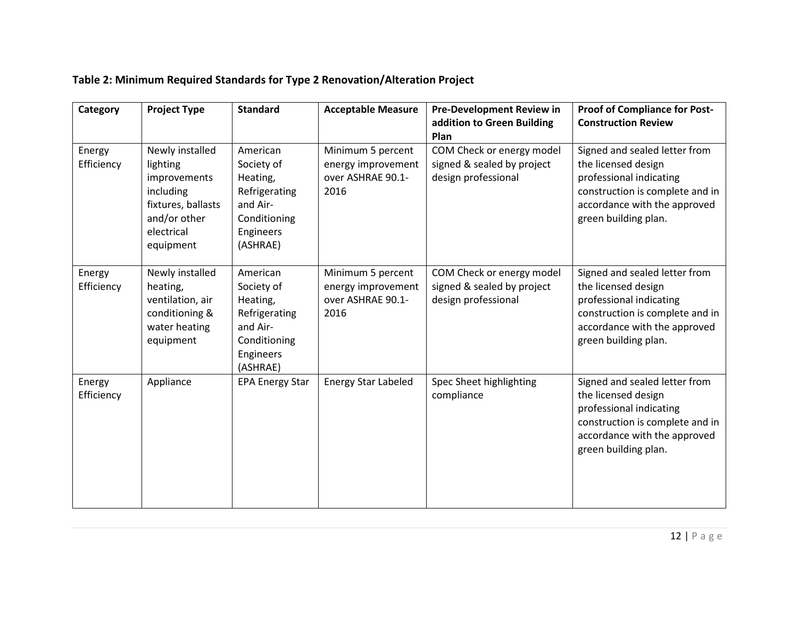| Category             | <b>Project Type</b>                                                                                                       | <b>Standard</b>                                                                                          | <b>Acceptable Measure</b>                                            | <b>Pre-Development Review in</b><br>addition to Green Building<br>Plan         | <b>Proof of Compliance for Post-</b><br><b>Construction Review</b>                                                                                                         |
|----------------------|---------------------------------------------------------------------------------------------------------------------------|----------------------------------------------------------------------------------------------------------|----------------------------------------------------------------------|--------------------------------------------------------------------------------|----------------------------------------------------------------------------------------------------------------------------------------------------------------------------|
| Energy<br>Efficiency | Newly installed<br>lighting<br>improvements<br>including<br>fixtures, ballasts<br>and/or other<br>electrical<br>equipment | American<br>Society of<br>Heating,<br>Refrigerating<br>and Air-<br>Conditioning<br>Engineers<br>(ASHRAE) | Minimum 5 percent<br>energy improvement<br>over ASHRAE 90.1-<br>2016 | COM Check or energy model<br>signed & sealed by project<br>design professional | Signed and sealed letter from<br>the licensed design<br>professional indicating<br>construction is complete and in<br>accordance with the approved<br>green building plan. |
| Energy<br>Efficiency | Newly installed<br>heating,<br>ventilation, air<br>conditioning &<br>water heating<br>equipment                           | American<br>Society of<br>Heating,<br>Refrigerating<br>and Air-<br>Conditioning<br>Engineers<br>(ASHRAE) | Minimum 5 percent<br>energy improvement<br>over ASHRAE 90.1-<br>2016 | COM Check or energy model<br>signed & sealed by project<br>design professional | Signed and sealed letter from<br>the licensed design<br>professional indicating<br>construction is complete and in<br>accordance with the approved<br>green building plan. |
| Energy<br>Efficiency | Appliance                                                                                                                 | <b>EPA Energy Star</b>                                                                                   | <b>Energy Star Labeled</b>                                           | Spec Sheet highlighting<br>compliance                                          | Signed and sealed letter from<br>the licensed design<br>professional indicating<br>construction is complete and in<br>accordance with the approved<br>green building plan. |

# **Table 2: Minimum Required Standards for Type 2 Renovation/Alteration Project**